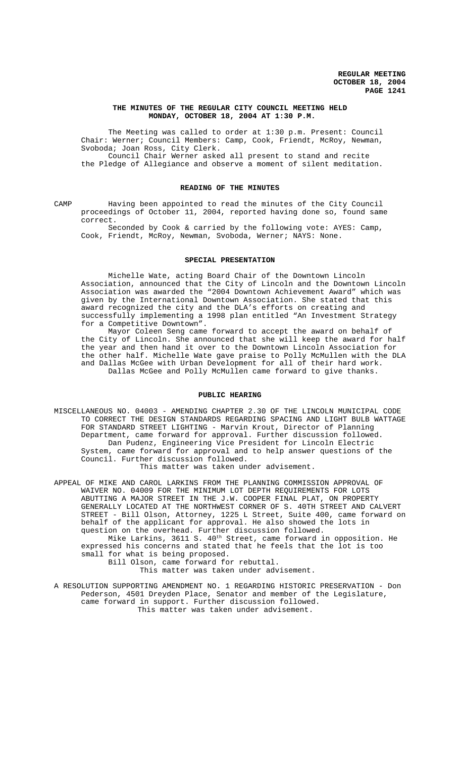## **THE MINUTES OF THE REGULAR CITY COUNCIL MEETING HELD MONDAY, OCTOBER 18, 2004 AT 1:30 P.M.**

The Meeting was called to order at 1:30 p.m. Present: Council Chair: Werner; Council Members: Camp, Cook, Friendt, McRoy, Newman, Svoboda; Joan Ross, City Clerk. Council Chair Werner asked all present to stand and recite

the Pledge of Allegiance and observe a moment of silent meditation.

### **READING OF THE MINUTES**

CAMP Having been appointed to read the minutes of the City Council proceedings of October 11, 2004, reported having done so, found same correct.

Seconded by Cook & carried by the following vote: AYES: Camp, Cook, Friendt, McRoy, Newman, Svoboda, Werner; NAYS: None.

# **SPECIAL PRESENTATION**

Michelle Wate, acting Board Chair of the Downtown Lincoln Association, announced that the City of Lincoln and the Downtown Lincoln Association was awarded the "2004 Downtown Achievement Award" which was given by the International Downtown Association. She stated that this award recognized the city and the DLA's efforts on creating and successfully implementing a 1998 plan entitled "An Investment Strategy for a Competitive Downtown".

Mayor Coleen Seng came forward to accept the award on behalf of the City of Lincoln. She announced that she will keep the award for half the year and then hand it over to the Downtown Lincoln Association for the other half. Michelle Wate gave praise to Polly McMullen with the DLA and Dallas McGee with Urban Development for all of their hard work. Dallas McGee and Polly McMullen came forward to give thanks.

# **PUBLIC HEARING**

MISCELLANEOUS NO. 04003 - AMENDING CHAPTER 2.30 OF THE LINCOLN MUNICIPAL CODE TO CORRECT THE DESIGN STANDARDS REGARDING SPACING AND LIGHT BULB WATTAGE FOR STANDARD STREET LIGHTING - Marvin Krout, Director of Planning Department, came forward for approval. Further discussion followed. Dan Pudenz, Engineering Vice President for Lincoln Electric System, came forward for approval and to help answer questions of the Council. Further discussion followed.

This matter was taken under advisement.

APPEAL OF MIKE AND CAROL LARKINS FROM THE PLANNING COMMISSION APPROVAL OF WAIVER NO. 04009 FOR THE MINIMUM LOT DEPTH REQUIREMENTS FOR LOTS ABUTTING A MAJOR STREET IN THE J.W. COOPER FINAL PLAT, ON PROPERTY GENERALLY LOCATED AT THE NORTHWEST CORNER OF S. 40TH STREET AND CALVERT STREET - Bill Olson, Attorney, 1225 L Street, Suite 400, came forward on behalf of the applicant for approval. He also showed the lots in question on the overhead. Further discussion followed. Mike Larkins, 3611 S. 40<sup>th</sup> Street, came forward in opposition. He

expressed his concerns and stated that he feels that the lot is too small for what is being proposed. Bill Olson, came forward for rebuttal.

This matter was taken under advisement.

A RESOLUTION SUPPORTING AMENDMENT NO. 1 REGARDING HISTORIC PRESERVATION - Don Pederson, 4501 Dreyden Place, Senator and member of the Legislature, came forward in support. Further discussion followed. This matter was taken under advisement.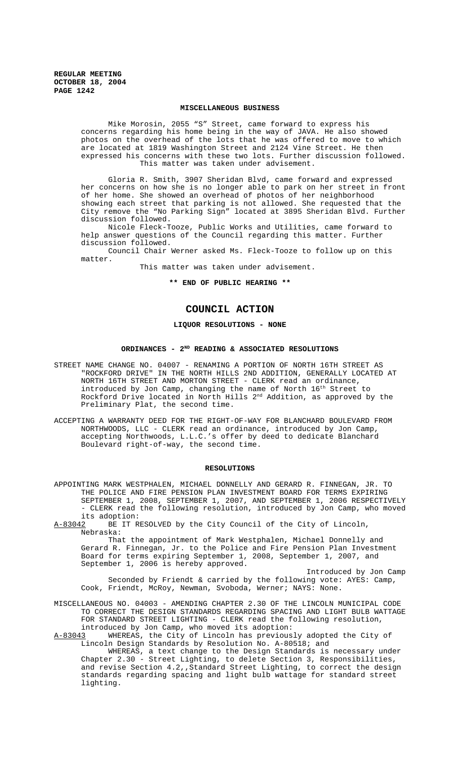### **MISCELLANEOUS BUSINESS**

Mike Morosin, 2055 "S" Street, came forward to express his concerns regarding his home being in the way of JAVA. He also showed photos on the overhead of the lots that he was offered to move to which are located at 1819 Washington Street and 2124 Vine Street. He then expressed his concerns with these two lots. Further discussion followed. This matter was taken under advisement.

Gloria R. Smith, 3907 Sheridan Blvd, came forward and expressed her concerns on how she is no longer able to park on her street in front of her home. She showed an overhead of photos of her neighborhood showing each street that parking is not allowed. She requested that the City remove the "No Parking Sign" located at 3895 Sheridan Blvd. Further discussion followed.

Nicole Fleck-Tooze, Public Works and Utilities, came forward to help answer questions of the Council regarding this matter. Further discussion followed.

Council Chair Werner asked Ms. Fleck-Tooze to follow up on this matter.

This matter was taken under advisement.

**\*\* END OF PUBLIC HEARING \*\***

# **COUNCIL ACTION**

## **LIQUOR RESOLUTIONS - NONE**

# **ORDINANCES - 2ND READING & ASSOCIATED RESOLUTIONS**

- STREET NAME CHANGE NO. 04007 RENAMING A PORTION OF NORTH 16TH STREET AS "ROCKFORD DRIVE" IN THE NORTH HILLS 2ND ADDITION, GENERALLY LOCATED AT NORTH 16TH STREET AND MORTON STREET - CLERK read an ordinance, introduced by Jon Camp, changing the name of North  $16^{\text{th}}$  Street to Rockford Drive located in North Hills 2<sup>nd</sup> Addition, as approved by the Preliminary Plat, the second time.
- ACCEPTING A WARRANTY DEED FOR THE RIGHT-OF-WAY FOR BLANCHARD BOULEVARD FROM NORTHWOODS, LLC - CLERK read an ordinance, introduced by Jon Camp, accepting Northwoods, L.L.C.'s offer by deed to dedicate Blanchard Boulevard right-of-way, the second time.

#### **RESOLUTIONS**

APPOINTING MARK WESTPHALEN, MICHAEL DONNELLY AND GERARD R. FINNEGAN, JR. TO THE POLICE AND FIRE PENSION PLAN INVESTMENT BOARD FOR TERMS EXPIRING SEPTEMBER 1, 2008, SEPTEMBER 1, 2007, AND SEPTEMBER 1, 2006 RESPECTIVELY - CLERK read the following resolution, introduced by Jon Camp, who moved

its adoption:<br><u>A-83042</u> BE IT R BE IT RESOLVED by the City Council of the City of Lincoln, Nebraska:

That the appointment of Mark Westphalen, Michael Donnelly and Gerard R. Finnegan, Jr. to the Police and Fire Pension Plan Investment Board for terms expiring September 1, 2008, September 1, 2007, and September 1, 2006 is hereby approved.

Introduced by Jon Camp Seconded by Friendt & carried by the following vote: AYES: Camp, Cook, Friendt, McRoy, Newman, Svoboda, Werner; NAYS: None.

MISCELLANEOUS NO. 04003 - AMENDING CHAPTER 2.30 OF THE LINCOLN MUNICIPAL CODE TO CORRECT THE DESIGN STANDARDS REGARDING SPACING AND LIGHT BULB WATTAGE FOR STANDARD STREET LIGHTING - CLERK read the following resolution, introduced by Jon Camp, who moved its adoption:

A-83043 WHEREAS, the City of Lincoln has previously adopted the City of Lincoln Design Standards by Resolution No. A-80518; and

WHEREAS, a text change to the Design Standards is necessary under Chapter 2.30 - Street Lighting, to delete Section 3, Responsibilities, and revise Section 4.2,,Standard Street Lighting, to correct the design standards regarding spacing and light bulb wattage for standard street lighting.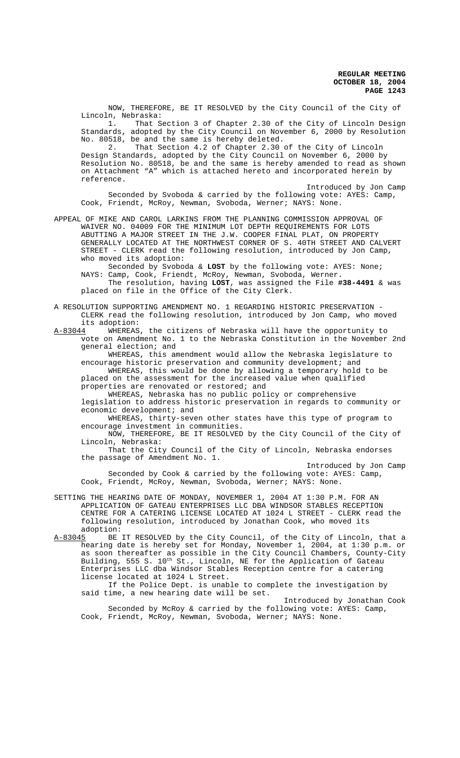**REGULAR MEETING OCTOBER 18, 2004 PAGE 1243**

NOW, THEREFORE, BE IT RESOLVED by the City Council of the City of Lincoln, Nebraska:

1. That Section 3 of Chapter 2.30 of the City of Lincoln Design Standards, adopted by the City Council on November 6, 2000 by Resolution No. 80518, be and the same is hereby deleted.

2. That Section 4.2 of Chapter 2.30 of the City of Lincoln Design Standards, adopted by the City Council on November 6, 2000 by Resolution No. 80518, be and the same is hereby amended to read as shown on Attachment "A" which is attached hereto and incorporated herein by reference.

Introduced by Jon Camp Seconded by Svoboda & carried by the following vote: AYES: Camp, Cook, Friendt, McRoy, Newman, Svoboda, Werner; NAYS: None.

APPEAL OF MIKE AND CAROL LARKINS FROM THE PLANNING COMMISSION APPROVAL OF WAIVER NO. 04009 FOR THE MINIMUM LOT DEPTH REQUIREMENTS FOR LOTS ABUTTING A MAJOR STREET IN THE J.W. COOPER FINAL PLAT, ON PROPERTY GENERALLY LOCATED AT THE NORTHWEST CORNER OF S. 40TH STREET AND CALVERT STREET - CLERK read the following resolution, introduced by Jon Camp, who moved its adoption:

Seconded by Svoboda & **LOST** by the following vote: AYES: None; NAYS: Camp, Cook, Friendt, McRoy, Newman, Svoboda, Werner. The resolution, having **LOST**, was assigned the File **#38-4491** & was

placed on file in the Office of the City Clerk.

A RESOLUTION SUPPORTING AMENDMENT NO. 1 REGARDING HISTORIC PRESERVATION - CLERK read the following resolution, introduced by Jon Camp, who moved its adoption:

A-83044 WHEREAS, the citizens of Nebraska will have the opportunity to vote on Amendment No. 1 to the Nebraska Constitution in the November 2nd general election; and

WHEREAS, this amendment would allow the Nebraska legislature to encourage historic preservation and community development; and WHEREAS, this would be done by allowing a temporary hold to be placed on the assessment for the increased value when qualified

properties are renovated or restored; and

WHEREAS, Nebraska has no public policy or comprehensive legislation to address historic preservation in regards to community or economic development; and

WHEREAS, thirty-seven other states have this type of program to encourage investment in communities.

NOW, THEREFORE, BE IT RESOLVED by the City Council of the City of Lincoln, Nebraska:

That the City Council of the City of Lincoln, Nebraska endorses the passage of Amendment No. 1.

Introduced by Jon Camp

Seconded by Cook & carried by the following vote: AYES: Camp, Cook, Friendt, McRoy, Newman, Svoboda, Werner; NAYS: None.

SETTING THE HEARING DATE OF MONDAY, NOVEMBER 1, 2004 AT 1:30 P.M. FOR AN APPLICATION OF GATEAU ENTERPRISES LLC DBA WINDSOR STABLES RECEPTION CENTRE FOR A CATERING LICENSE LOCATED AT 1024 L STREET - CLERK read the following resolution, introduced by Jonathan Cook, who moved its adoption:<br>A-83045 BE

BE IT RESOLVED by the City Council, of the City of Lincoln, that a hearing date is hereby set for Monday, November 1, 2004, at 1:30 p.m. or as soon thereafter as possible in the City Council Chambers, County-City Building, 555 S. 10<sup>th</sup> St., Lincoln, NE for the Application of Gateau Enterprises LLC dba Windsor Stables Reception centre for a catering license located at 1024 L Street.

If the Police Dept. is unable to complete the investigation by said time, a new hearing date will be set.

Introduced by Jonathan Cook Seconded by McRoy & carried by the following vote: AYES: Camp, Cook, Friendt, McRoy, Newman, Svoboda, Werner; NAYS: None.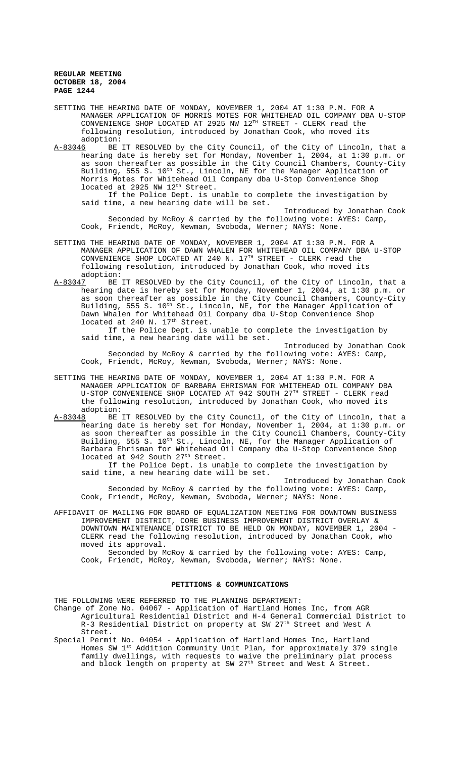**REGULAR MEETING OCTOBER 18, 2004 PAGE 1244**

- SETTING THE HEARING DATE OF MONDAY, NOVEMBER 1, 2004 AT 1:30 P.M. FOR A MANAGER APPLICATION OF MORRIS MOTES FOR WHITEHEAD OIL COMPANY DBA U-STOP CONVENIENCE SHOP LOCATED AT 2925 NW  $12^{TH}$  STREET - CLERK read the following resolution, introduced by Jonathan Cook, who moved its adoption:
- A-83046 BE IT RESOLVED by the City Council, of the City of Lincoln, that a hearing date is hereby set for Monday, November 1, 2004, at 1:30 p.m. or as soon thereafter as possible in the City Council Chambers, County-City Building, 555 S. 10<sup>th</sup> St., Lincoln, NE for the Manager Application of Morris Motes for Whitehead Oil Company dba U-Stop Convenience Shop located at 2925 NW 12<sup>th</sup> Street.

If the Police Dept. is unable to complete the investigation by said time, a new hearing date will be set.

Introduced by Jonathan Cook Seconded by McRoy & carried by the following vote: AYES: Camp, Cook, Friendt, McRoy, Newman, Svoboda, Werner; NAYS: None.

- SETTING THE HEARING DATE OF MONDAY, NOVEMBER 1, 2004 AT 1:30 P.M. FOR A MANAGER APPLICATION OF DAWN WHALEN FOR WHITEHEAD OIL COMPANY DBA U-STOP CONVENIENCE SHOP LOCATED AT 240 N.  $17^{TH}$  STREET - CLERK read the following resolution, introduced by Jonathan Cook, who moved its adoption:<br>A-83047 BE
- BE IT RESOLVED by the City Council, of the City of Lincoln, that a hearing date is hereby set for Monday, November 1, 2004, at 1:30 p.m. or as soon thereafter as possible in the City Council Chambers, County-City Building, 555 S. 10<sup>th</sup> St., Lincoln, NE, for the Manager Application of Dawn Whalen for Whitehead Oil Company dba U-Stop Convenience Shop located at 240 N. 17<sup>th</sup> Street.

If the Police Dept. is unable to complete the investigation by said time, a new hearing date will be set.

Introduced by Jonathan Cook Seconded by McRoy & carried by the following vote: AYES: Camp, Cook, Friendt, McRoy, Newman, Svoboda, Werner; NAYS: None.

- SETTING THE HEARING DATE OF MONDAY, NOVEMBER 1, 2004 AT 1:30 P.M. FOR A MANAGER APPLICATION OF BARBARA EHRISMAN FOR WHITEHEAD OIL COMPANY DBA U-STOP CONVENIENCE SHOP LOCATED AT 942 SOUTH 27TH STREET - CLERK read the following resolution, introduced by Jonathan Cook, who moved its adoption:<br>A-83048 BE
- BE IT RESOLVED by the City Council, of the City of Lincoln, that a hearing date is hereby set for Monday, November 1, 2004, at 1:30 p.m. or as soon thereafter as possible in the City Council Chambers, County-City Building, 555 S. 10<sup>th</sup> St., Lincoln, NE, for the Manager Application of Barbara Ehrisman for Whitehead Oil Company dba U-Stop Convenience Shop located at 942 South 27<sup>th</sup> Street.

If the Police Dept. is unable to complete the investigation by said time, a new hearing date will be set.

Introduced by Jonathan Cook Seconded by McRoy & carried by the following vote: AYES: Camp, Cook, Friendt, McRoy, Newman, Svoboda, Werner; NAYS: None.

AFFIDAVIT OF MAILING FOR BOARD OF EQUALIZATION MEETING FOR DOWNTOWN BUSINESS IMPROVEMENT DISTRICT, CORE BUSINESS IMPROVEMENT DISTRICT OVERLAY & DOWNTOWN MAINTENANCE DISTRICT TO BE HELD ON MONDAY, NOVEMBER 1, 2004 - CLERK read the following resolution, introduced by Jonathan Cook, who moved its approval.

Seconded by McRoy & carried by the following vote: AYES: Camp, Cook, Friendt, McRoy, Newman, Svoboda, Werner; NAYS: None.

## **PETITIONS & COMMUNICATIONS**

THE FOLLOWING WERE REFERRED TO THE PLANNING DEPARTMENT:

- Change of Zone No. 04067 Application of Hartland Homes Inc, from AGR Agricultural Residential District and H-4 General Commercial District to R-3 Residential District on property at SW 27<sup>th</sup> Street and West A Street.
- Special Permit No. 04054 Application of Hartland Homes Inc, Hartland Homes SW 1st Addition Community Unit Plan, for approximately 379 single family dwellings, with requests to waive the preliminary plat process and block length on property at SW 27<sup>th</sup> Street and West A Street.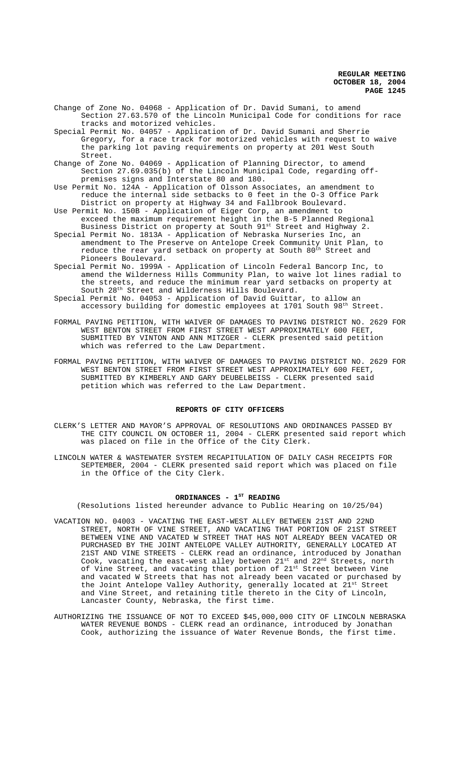**REGULAR MEETING OCTOBER 18, 2004 PAGE 1245**

- Change of Zone No. 04068 Application of Dr. David Sumani, to amend Section 27.63.570 of the Lincoln Municipal Code for conditions for race tracks and motorized vehicles.
- Special Permit No. 04057 Application of Dr. David Sumani and Sherrie Gregory, for a race track for motorized vehicles with request to waive the parking lot paving requirements on property at 201 West South Street.
- Change of Zone No. 04069 Application of Planning Director, to amend Section 27.69.035(b) of the Lincoln Municipal Code, regarding offpremises signs and Interstate 80 and 180.
- Use Permit No. 124A Application of Olsson Associates, an amendment to reduce the internal side setbacks to 0 feet in the O-3 Office Park District on property at Highway 34 and Fallbrook Boulevard.
- Use Permit No. 150B Application of Eiger Corp, an amendment to exceed the maximum requirement height in the B-5 Planned Regional Business District on property at South 91st Street and Highway 2.
- Special Permit No. 1813A Application of Nebraska Nurseries Inc, an amendment to The Preserve on Antelope Creek Community Unit Plan, to reduce the rear yard setback on property at South  $80^{\rm th}$  Street and Pioneers Boulevard.
- Special Permit No. 1999A Application of Lincoln Federal Bancorp Inc, to amend the Wilderness Hills Community Plan, to waive lot lines radial to the streets, and reduce the minimum rear yard setbacks on property at South 28th Street and Wilderness Hills Boulevard.
- Special Permit No. 04053 Application of David Guittar, to allow an accessory building for domestic employees at  $1701$  South 98<sup>th</sup> Street.
- FORMAL PAVING PETITION, WITH WAIVER OF DAMAGES TO PAVING DISTRICT NO. 2629 FOR WEST BENTON STREET FROM FIRST STREET WEST APPROXIMATELY 600 FEET, SUBMITTED BY VINTON AND ANN MITZGER - CLERK presented said petition which was referred to the Law Department.
- FORMAL PAVING PETITION, WITH WAIVER OF DAMAGES TO PAVING DISTRICT NO. 2629 FOR WEST BENTON STREET FROM FIRST STREET WEST APPROXIMATELY 600 FEET, SUBMITTED BY KIMBERLY AND GARY DEUBELBEISS - CLERK presented said petition which was referred to the Law Department.

#### **REPORTS OF CITY OFFICERS**

- CLERK'S LETTER AND MAYOR'S APPROVAL OF RESOLUTIONS AND ORDINANCES PASSED BY THE CITY COUNCIL ON OCTOBER 11, 2004 - CLERK presented said report which was placed on file in the Office of the City Clerk.
- LINCOLN WATER & WASTEWATER SYSTEM RECAPITULATION OF DAILY CASH RECEIPTS FOR SEPTEMBER, 2004 - CLERK presented said report which was placed on file in the Office of the City Clerk.

### ORDINANCES - 1<sup>st</sup> READING

(Resolutions listed hereunder advance to Public Hearing on 10/25/04)

- VACATION NO. 04003 VACATING THE EAST-WEST ALLEY BETWEEN 21ST AND 22ND STREET, NORTH OF VINE STREET, AND VACATING THAT PORTION OF 21ST STREET BETWEEN VINE AND VACATED W STREET THAT HAS NOT ALREADY BEEN VACATED OR PURCHASED BY THE JOINT ANTELOPE VALLEY AUTHORITY, GENERALLY LOCATED AT 21ST AND VINE STREETS - CLERK read an ordinance, introduced by Jonathan Cook, vacating the east-west alley between 21st and 22<sup>nd</sup> Streets, north of Vine Street, and vacating that portion of 21<sup>st</sup> Street between Vine and vacated W Streets that has not already been vacated or purchased by the Joint Antelope Valley Authority, generally located at  $21^{st}$  Street and Vine Street, and retaining title thereto in the City of Lincoln, Lancaster County, Nebraska, the first time.
- AUTHORIZING THE ISSUANCE OF NOT TO EXCEED \$45,000,000 CITY OF LINCOLN NEBRASKA WATER REVENUE BONDS - CLERK read an ordinance, introduced by Jonathan Cook, authorizing the issuance of Water Revenue Bonds, the first time.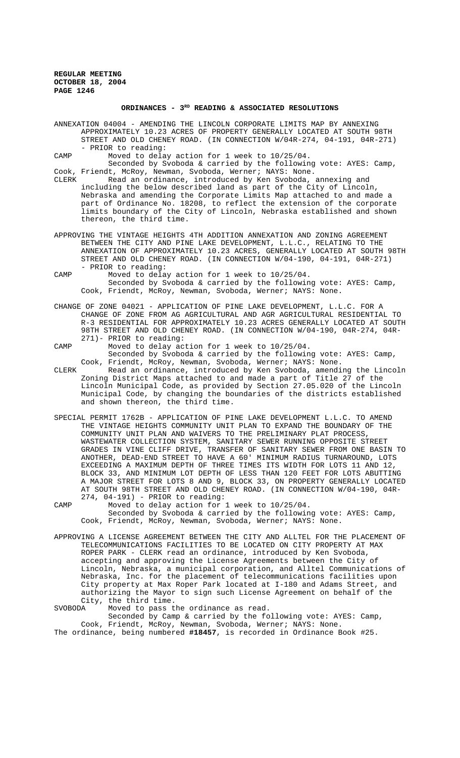**REGULAR MEETING OCTOBER 18, 2004 PAGE 1246**

### **ORDINANCES - 3RD READING & ASSOCIATED RESOLUTIONS**

ANNEXATION 04004 - AMENDING THE LINCOLN CORPORATE LIMITS MAP BY ANNEXING APPROXIMATELY 10.23 ACRES OF PROPERTY GENERALLY LOCATED AT SOUTH 98TH STREET AND OLD CHENEY ROAD. (IN CONNECTION W/04R-274, 04-191, 04R-271) - PRIOR to reading:

CAMP Moved to delay action for 1 week to 10/25/04.

Seconded by Svoboda & carried by the following vote: AYES: Camp, Cook, Friendt, McRoy, Newman, Svoboda, Werner; NAYS: None.

CLERK Read an ordinance, introduced by Ken Svoboda, annexing and including the below described land as part of the City of Lincoln, Nebraska and amending the Corporate Limits Map attached to and made a part of Ordinance No. 18208, to reflect the extension of the corporate limits boundary of the City of Lincoln, Nebraska established and shown thereon, the third time.

APPROVING THE VINTAGE HEIGHTS 4TH ADDITION ANNEXATION AND ZONING AGREEMENT BETWEEN THE CITY AND PINE LAKE DEVELOPMENT, L.L.C., RELATING TO THE ANNEXATION OF APPROXIMATELY 10.23 ACRES, GENERALLY LOCATED AT SOUTH 98TH STREET AND OLD CHENEY ROAD. (IN CONNECTION W/04-190, 04-191, 04R-271) - PRIOR to reading:

CAMP Moved to delay action for 1 week to 10/25/04. Seconded by Svoboda & carried by the following vote: AYES: Camp, Cook, Friendt, McRoy, Newman, Svoboda, Werner; NAYS: None.

CHANGE OF ZONE 04021 - APPLICATION OF PINE LAKE DEVELOPMENT, L.L.C. FOR A CHANGE OF ZONE FROM AG AGRICULTURAL AND AGR AGRICULTURAL RESIDENTIAL TO R-3 RESIDENTIAL FOR APPROXIMATELY 10.23 ACRES GENERALLY LOCATED AT SOUTH 98TH STREET AND OLD CHENEY ROAD. (IN CONNECTION W/04-190, 04R-274, 04R-271)- PRIOR to reading:

CAMP Moved to delay action for 1 week to 10/25/04. Seconded by Svoboda & carried by the following vote: AYES: Camp, Cook, Friendt, McRoy, Newman, Svoboda, Werner; NAYS: None.

CLERK Read an ordinance, introduced by Ken Svoboda, amending the Lincoln Zoning District Maps attached to and made a part of Title 27 of the Lincoln Municipal Code, as provided by Section 27.05.020 of the Lincoln Municipal Code, by changing the boundaries of the districts established and shown thereon, the third time.

SPECIAL PERMIT 1762B - APPLICATION OF PINE LAKE DEVELOPMENT L.L.C. TO AMEND THE VINTAGE HEIGHTS COMMUNITY UNIT PLAN TO EXPAND THE BOUNDARY OF THE COMMUNITY UNIT PLAN AND WAIVERS TO THE PRELIMINARY PLAT PROCESS, WASTEWATER COLLECTION SYSTEM, SANITARY SEWER RUNNING OPPOSITE STREET GRADES IN VINE CLIFF DRIVE, TRANSFER OF SANITARY SEWER FROM ONE BASIN TO ANOTHER, DEAD-END STREET TO HAVE A 60' MINIMUM RADIUS TURNAROUND, LOTS EXCEEDING A MAXIMUM DEPTH OF THREE TIMES ITS WIDTH FOR LOTS 11 AND 12, BLOCK 33, AND MINIMUM LOT DEPTH OF LESS THAN 120 FEET FOR LOTS ABUTTING A MAJOR STREET FOR LOTS 8 AND 9, BLOCK 33, ON PROPERTY GENERALLY LOCATED AT SOUTH 98TH STREET AND OLD CHENEY ROAD. (IN CONNECTION W/04-190, 04R-274, 04-191) - PRIOR to reading:

CAMP Moved to delay action for 1 week to 10/25/04. Seconded by Svoboda & carried by the following vote: AYES: Camp, Cook, Friendt, McRoy, Newman, Svoboda, Werner; NAYS: None.

APPROVING A LICENSE AGREEMENT BETWEEN THE CITY AND ALLTEL FOR THE PLACEMENT OF TELECOMMUNICATIONS FACILITIES TO BE LOCATED ON CITY PROPERTY AT MAX ROPER PARK - CLERK read an ordinance, introduced by Ken Svoboda, accepting and approving the License Agreements between the City of Lincoln, Nebraska, a municipal corporation, and Alltel Communications of Nebraska, Inc. for the placement of telecommunications facilities upon City property at Max Roper Park located at I-180 and Adams Street, and authorizing the Mayor to sign such License Agreement on behalf of the City, the third time.<br>SVOBODA Moved to pass t

Moved to pass the ordinance as read. Seconded by Camp & carried by the following vote: AYES: Camp, Cook, Friendt, McRoy, Newman, Svoboda, Werner; NAYS: None. The ordinance, being numbered **#18457**, is recorded in Ordinance Book #25.